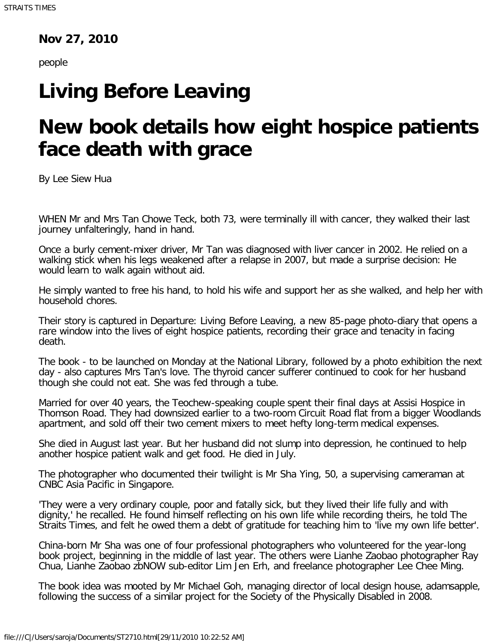## **Nov 27, 2010**

people

## **Living Before Leaving**

## **New book details how eight hospice patients face death with grace**

By Lee Siew Hua

WHEN Mr and Mrs Tan Chowe Teck, both 73, were terminally ill with cancer, they walked their last journey unfalteringly, hand in hand.

Once a burly cement-mixer driver, Mr Tan was diagnosed with liver cancer in 2002. He relied on a walking stick when his legs weakened after a relapse in 2007, but made a surprise decision: He would learn to walk again without aid.

He simply wanted to free his hand, to hold his wife and support her as she walked, and help her with household chores.

Their story is captured in Departure: Living Before Leaving, a new 85-page photo-diary that opens a rare window into the lives of eight hospice patients, recording their grace and tenacity in facing death.

The book - to be launched on Monday at the National Library, followed by a photo exhibition the next day - also captures Mrs Tan's love. The thyroid cancer sufferer continued to cook for her husband though she could not eat. She was fed through a tube.

Married for over 40 years, the Teochew-speaking couple spent their final days at Assisi Hospice in Thomson Road. They had downsized earlier to a two-room Circuit Road flat from a bigger Woodlands apartment, and sold off their two cement mixers to meet hefty long-term medical expenses.

She died in August last year. But her husband did not slump into depression, he continued to help another hospice patient walk and get food. He died in July.

The photographer who documented their twilight is Mr Sha Ying, 50, a supervising cameraman at CNBC Asia Pacific in Singapore.

'They were a very ordinary couple, poor and fatally sick, but they lived their life fully and with dignity,' he recalled. He found himself reflecting on his own life while recording theirs, he told The Straits Times, and felt he owed them a debt of gratitude for teaching him to 'live my own life better'.

China-born Mr Sha was one of four professional photographers who volunteered for the year-long book project, beginning in the middle of last year. The others were Lianhe Zaobao photographer Ray Chua, Lianhe Zaobao zbNOW sub-editor Lim Jen Erh, and freelance photographer Lee Chee Ming.

The book idea was mooted by Mr Michael Goh, managing director of local design house, adamsapple, following the success of a similar project for the Society of the Physically Disabled in 2008.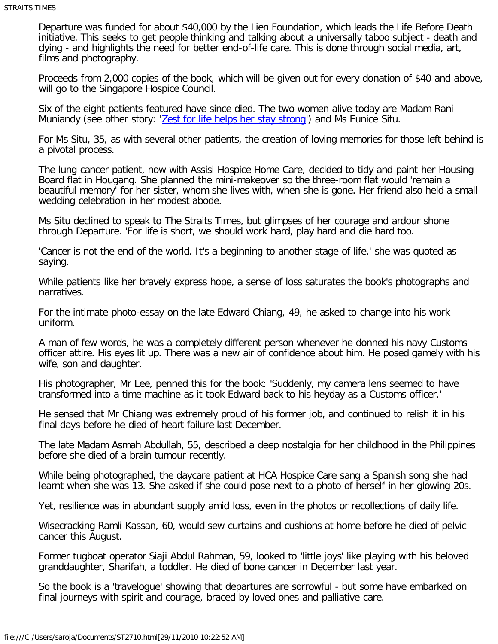Departure was funded for about \$40,000 by the Lien Foundation, which leads the Life Before Death initiative. This seeks to get people thinking and talking about a universally taboo subject - death and dying - and highlights the need for better end-of-life care. This is done through social media, art, films and photography.

Proceeds from 2,000 copies of the book, which will be given out for every donation of \$40 and above, will go to the Singapore Hospice Council.

Six of the eight patients featured have since died. The two women alive today are Madam Rani Muniandy (see other story: '[Zest for life helps her stay strong](http://www.straitstimes.com/PrimeNews/Story/STIStory_607790.html)') and Ms Eunice Situ.

For Ms Situ, 35, as with several other patients, the creation of loving memories for those left behind is a pivotal process.

The lung cancer patient, now with Assisi Hospice Home Care, decided to tidy and paint her Housing Board flat in Hougang. She planned the mini-makeover so the three-room flat would 'remain a beautiful memory' for her sister, whom she lives with, when she is gone. Her friend also held a small wedding celebration in her modest abode.

Ms Situ declined to speak to The Straits Times, but glimpses of her courage and ardour shone through Departure. 'For life is short, we should work hard, play hard and die hard too.

'Cancer is not the end of the world. It's a beginning to another stage of life,' she was quoted as saying.

While patients like her bravely express hope, a sense of loss saturates the book's photographs and narratives.

For the intimate photo-essay on the late Edward Chiang, 49, he asked to change into his work uniform.

A man of few words, he was a completely different person whenever he donned his navy Customs officer attire. His eyes lit up. There was a new air of confidence about him. He posed gamely with his wife, son and daughter.

His photographer, Mr Lee, penned this for the book: 'Suddenly, my camera lens seemed to have transformed into a time machine as it took Edward back to his heyday as a Customs officer.'

He sensed that Mr Chiang was extremely proud of his former job, and continued to relish it in his final days before he died of heart failure last December.

The late Madam Asmah Abdullah, 55, described a deep nostalgia for her childhood in the Philippines before she died of a brain tumour recently.

While being photographed, the daycare patient at HCA Hospice Care sang a Spanish song she had learnt when she was 13. She asked if she could pose next to a photo of herself in her glowing 20s.

Yet, resilience was in abundant supply amid loss, even in the photos or recollections of daily life.

Wisecracking Ramli Kassan, 60, would sew curtains and cushions at home before he died of pelvic cancer this August.

Former tugboat operator Siaji Abdul Rahman, 59, looked to 'little joys' like playing with his beloved granddaughter, Sharifah, a toddler. He died of bone cancer in December last year.

So the book is a 'travelogue' showing that departures are sorrowful - but some have embarked on final journeys with spirit and courage, braced by loved ones and palliative care.